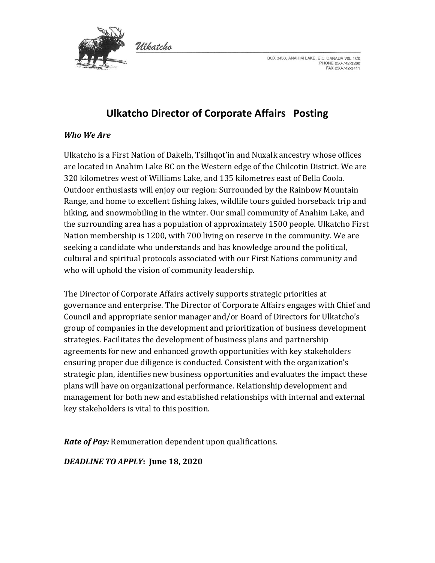

BOX 3430, ANAHIM LAKE, B.C. CANADA VOL 1C0 PHONE 250-742-3260 FAX 250-742-3411

# **Ulkatcho Director of Corporate Affairs Posting**

#### *Who We Are*

Ulkatcho is a First Nation of Dakelh, Tsilhqot'in and Nuxalk ancestry whose offices are located in Anahim Lake BC on the Western edge of the Chilcotin District. We are 320 kilometres west of Williams Lake, and 135 kilometres east of Bella Coola. Outdoor enthusiasts will enjoy our region: Surrounded by the Rainbow Mountain Range, and home to excellent fishing lakes, wildlife tours guided horseback trip and hiking, and snowmobiling in the winter. Our small community of Anahim Lake, and the surrounding area has a population of approximately 1500 people. Ulkatcho First Nation membership is 1200, with 700 living on reserve in the community. We are seeking a candidate who understands and has knowledge around the political, cultural and spiritual protocols associated with our First Nations community and who will uphold the vision of community leadership.

The Director of Corporate Affairs actively supports strategic priorities at governance and enterprise. The Director of Corporate Affairs engages with Chief and Council and appropriate senior manager and/or Board of Directors for Ulkatcho's group of companies in the development and prioritization of business development strategies. Facilitates the development of business plans and partnership agreements for new and enhanced growth opportunities with key stakeholders ensuring proper due diligence is conducted. Consistent with the organization's strategic plan, identifies new business opportunities and evaluates the impact these plans will have on organizational performance. Relationship development and management for both new and established relationships with internal and external key stakeholders is vital to this position.

*Rate of Pay:* Remuneration dependent upon qualifications.

## *DEADLINE TO APPLY***: June 18, 2020**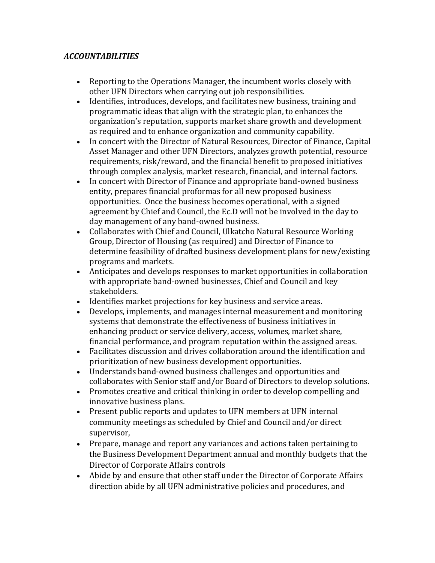# *ACCOUNTABILITIES*

- Reporting to the Operations Manager, the incumbent works closely with other UFN Directors when carrying out job responsibilities.
- Identifies, introduces, develops, and facilitates new business, training and programmatic ideas that align with the strategic plan, to enhances the organization's reputation, supports market share growth and development as required and to enhance organization and community capability.
- In concert with the Director of Natural Resources, Director of Finance, Capital Asset Manager and other UFN Directors, analyzes growth potential, resource requirements, risk/reward, and the financial benefit to proposed initiatives through complex analysis, market research, financial, and internal factors.
- In concert with Director of Finance and appropriate band-owned business entity, prepares financial proformas for all new proposed business opportunities. Once the business becomes operational, with a signed agreement by Chief and Council, the Ec.D will not be involved in the day to day management of any band-owned business.
- Collaborates with Chief and Council, Ulkatcho Natural Resource Working Group, Director of Housing (as required) and Director of Finance to determine feasibility of drafted business development plans for new/existing programs and markets.
- Anticipates and develops responses to market opportunities in collaboration with appropriate band-owned businesses, Chief and Council and key stakeholders.
- Identifies market projections for key business and service areas.
- Develops, implements, and manages internal measurement and monitoring systems that demonstrate the effectiveness of business initiatives in enhancing product or service delivery, access, volumes, market share, financial performance, and program reputation within the assigned areas.
- Facilitates discussion and drives collaboration around the identification and prioritization of new business development opportunities.
- Understands band-owned business challenges and opportunities and collaborates with Senior staff and/or Board of Directors to develop solutions.
- Promotes creative and critical thinking in order to develop compelling and innovative business plans.
- Present public reports and updates to UFN members at UFN internal community meetings as scheduled by Chief and Council and/or direct supervisor,
- Prepare, manage and report any variances and actions taken pertaining to the Business Development Department annual and monthly budgets that the Director of Corporate Affairs controls
- Abide by and ensure that other staff under the Director of Corporate Affairs direction abide by all UFN administrative policies and procedures, and